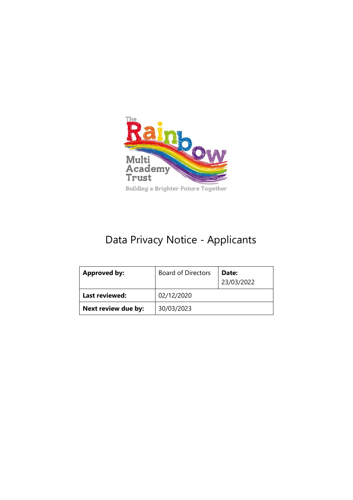

# Data Privacy Notice - Applicants

| <b>Approved by:</b> | <b>Board of Directors</b> | Date:<br>23/03/2022 |
|---------------------|---------------------------|---------------------|
| Last reviewed:      | 02/12/2020                |                     |
| Next review due by: | 30/03/2023                |                     |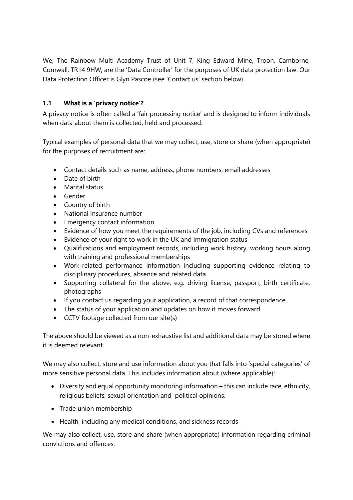We, The Rainbow Multi Academy Trust of Unit 7, King Edward Mine, Troon, Camborne, Cornwall, TR14 9HW, are the 'Data Controller' for the purposes of UK data protection law. Our Data Protection Officer is Glyn Pascoe (see 'Contact us' section below).

#### **1.1 What is a 'privacy notice'?**

A privacy notice is often called a 'fair processing notice' and is designed to inform individuals when data about them is collected, held and processed.

Typical examples of personal data that we may collect, use, store or share (when appropriate) for the purposes of recruitment are:

- Contact details such as name, address, phone numbers, email addresses
- Date of birth
- Marital status
- Gender
- Country of birth
- National Insurance number
- Emergency contact information
- Evidence of how you meet the requirements of the job, including CVs and references
- Evidence of your right to work in the UK and immigration status
- Qualifications and employment records, including work history, working hours along with training and professional memberships
- Work-related performance information including supporting evidence relating to disciplinary procedures, absence and related data
- Supporting collateral for the above, e.g. driving license, passport, birth certificate, photographs
- If you contact us regarding your application, a record of that correspondence.
- The status of your application and updates on how it moves forward.
- CCTV footage collected from our site(s)

The above should be viewed as a non-exhaustive list and additional data may be stored where it is deemed relevant.

We may also collect, store and use information about you that falls into 'special categories' of more sensitive personal data. This includes information about (where applicable):

- Diversity and equal opportunity monitoring information this can include race, ethnicity, religious beliefs, sexual orientation and political opinions.
- Trade union membership
- Health, including any medical conditions, and sickness records

We may also collect, use, store and share (when appropriate) information regarding criminal convictions and offences.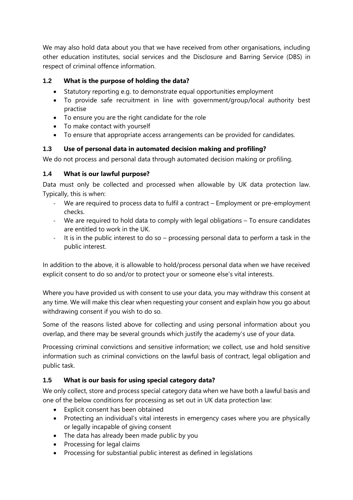We may also hold data about you that we have received from other organisations, including other education institutes, social services and the Disclosure and Barring Service (DBS) in respect of criminal offence information.

## **1.2 What is the purpose of holding the data?**

- Statutory reporting e.g. to demonstrate equal opportunities employment
- To provide safe recruitment in line with government/group/local authority best practise
- To ensure you are the right candidate for the role
- To make contact with yourself
- To ensure that appropriate access arrangements can be provided for candidates.

## **1.3 Use of personal data in automated decision making and profiling?**

We do not process and personal data through automated decision making or profiling.

## **1.4 What is our lawful purpose?**

Data must only be collected and processed when allowable by UK data protection law. Typically, this is when:

- We are required to process data to fulfil a contract Employment or pre-employment checks.
- We are required to hold data to comply with legal obligations To ensure candidates are entitled to work in the UK.
- It is in the public interest to do so processing personal data to perform a task in the public interest.

In addition to the above, it is allowable to hold/process personal data when we have received explicit consent to do so and/or to protect your or someone else's vital interests.

Where you have provided us with consent to use your data, you may withdraw this consent at any time. We will make this clear when requesting your consent and explain how you go about withdrawing consent if you wish to do so.

Some of the reasons listed above for collecting and using personal information about you overlap, and there may be several grounds which justify the academy's use of your data.

Processing criminal convictions and sensitive information; we collect, use and hold sensitive information such as criminal convictions on the lawful basis of contract, legal obligation and public task.

## **1.5 What is our basis for using special category data?**

We only collect, store and process special category data when we have both a lawful basis and one of the below conditions for processing as set out in UK data protection law:

- Explicit consent has been obtained
- Protecting an individual's vital interests in emergency cases where you are physically or legally incapable of giving consent
- The data has already been made public by you
- Processing for legal claims
- Processing for substantial public interest as defined in legislations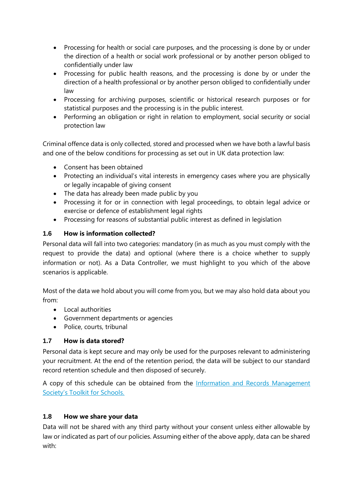- Processing for health or social care purposes, and the processing is done by or under the direction of a health or social work professional or by another person obliged to confidentially under law
- Processing for public health reasons, and the processing is done by or under the direction of a health professional or by another person obliged to confidentially under law
- Processing for archiving purposes, scientific or historical research purposes or for statistical purposes and the processing is in the public interest.
- Performing an obligation or right in relation to employment, social security or social protection law

Criminal offence data is only collected, stored and processed when we have both a lawful basis and one of the below conditions for processing as set out in UK data protection law:

- Consent has been obtained
- Protecting an individual's vital interests in emergency cases where you are physically or legally incapable of giving consent
- The data has already been made public by you
- Processing it for or in connection with legal proceedings, to obtain legal advice or exercise or defence of establishment legal rights
- Processing for reasons of substantial public interest as defined in legislation

## **1.6 How is information collected?**

Personal data will fall into two categories: mandatory (in as much as you must comply with the request to provide the data) and optional (where there is a choice whether to supply information or not). As a Data Controller, we must highlight to you which of the above scenarios is applicable.

Most of the data we hold about you will come from you, but we may also hold data about you from:

- Local authorities
- Government departments or agencies
- Police, courts, tribunal

### **1.7 How is data stored?**

Personal data is kept secure and may only be used for the purposes relevant to administering your recruitment. At the end of the retention period, the data will be subject to our standard record retention schedule and then disposed of securely.

A copy of this schedule can be obtained from the Information and Records Management [Society's Toolkit for Schools](http://irms.org.uk/?page=schoolstoolkit&terms=%22toolkit+and+schools%22).

### **1.8 How we share your data**

Data will not be shared with any third party without your consent unless either allowable by law or indicated as part of our policies. Assuming either of the above apply, data can be shared with: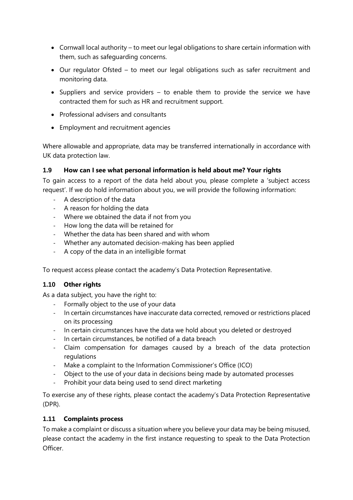- Cornwall local authority to meet our legal obligations to share certain information with them, such as safeguarding concerns.
- Our regulator Ofsted to meet our legal obligations such as safer recruitment and monitoring data.
- Suppliers and service providers to enable them to provide the service we have contracted them for such as HR and recruitment support.
- Professional advisers and consultants
- Employment and recruitment agencies

Where allowable and appropriate, data may be transferred internationally in accordance with UK data protection law.

#### **1.9 How can I see what personal information is held about me? Your rights**

To gain access to a report of the data held about you, please complete a 'subject access request'. If we do hold information about you, we will provide the following information:

- A description of the data
- A reason for holding the data
- Where we obtained the data if not from you
- How long the data will be retained for
- Whether the data has been shared and with whom
- Whether any automated decision-making has been applied
- A copy of the data in an intelligible format

To request access please contact the academy's Data Protection Representative.

#### **1.10 Other rights**

As a data subject, you have the right to:

- Formally object to the use of your data
- In certain circumstances have inaccurate data corrected, removed or restrictions placed on its processing
- In certain circumstances have the data we hold about you deleted or destroyed
- In certain circumstances, be notified of a data breach
- Claim compensation for damages caused by a breach of the data protection regulations
- Make a complaint to the Information Commissioner's Office (ICO)
- Object to the use of your data in decisions being made by automated processes
- Prohibit your data being used to send direct marketing

To exercise any of these rights, please contact the academy's Data Protection Representative (DPR).

#### **1.11 Complaints process**

To make a complaint or discuss a situation where you believe your data may be being misused, please contact the academy in the first instance requesting to speak to the Data Protection Officer.